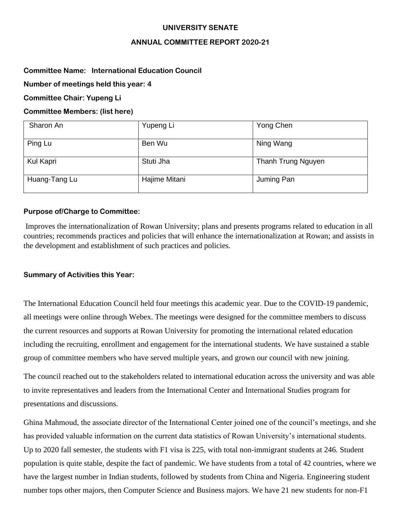## **UNIVERSITY SENATE**

# **ANNUAL COMMITTEE REPORT 2020-21**

# **Committee Name: International Education Council**

**Number of meetings held this year: 4**

**Committee Chair: Yupeng Li**

# **Committee Members: (list here)**

| Sharon An     | Yupeng Li     | Yong Chen          |
|---------------|---------------|--------------------|
| Ping Lu       | Ben Wu        | Ning Wang          |
| Kul Kapri     | Stuti Jha     | Thanh Trung Nguyen |
| Huang-Tang Lu | Hajime Mitani | Juming Pan         |

# **Purpose of/Charge to Committee:**

Improves the internationalization of Rowan University; plans and presents programs related to education in all countries; recommends practices and policies that will enhance the internationalization at Rowan; and assists in the development and establishment of such practices and policies.

### **Summary of Activities this Year:**

The International Education Council held four meetings this academic year. Due to the COVID-19 pandemic, all meetings were online through Webex. The meetings were designed for the committee members to discuss the current resources and supports at Rowan University for promoting the international related education including the recruiting, enrollment and engagement for the international students. We have sustained a stable group of committee members who have served multiple years, and grown our council with new joining.

The council reached out to the stakeholders related to international education across the university and was able to invite representatives and leaders from the International Center and International Studies program for presentations and discussions.

Ghina Mahmoud, the associate director of the International Center joined one of the council's meetings, and she has provided valuable information on the current data statistics of Rowan University's international students. Up to 2020 fall semester, the students with F1 visa is 225, with total non-immigrant students at 246. Student population is quite stable, despite the fact of pandemic. We have students from a total of 42 countries, where we have the largest number in Indian students, followed by students from China and Nigeria. Engineering student number tops other majors, then Computer Science and Business majors. We have 21 new students for non-F1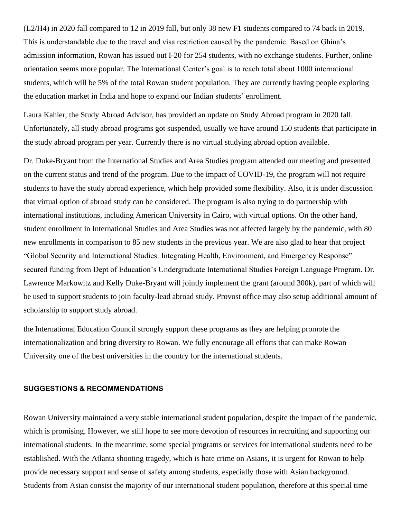(L2/H4) in 2020 fall compared to 12 in 2019 fall, but only 38 new F1 students compared to 74 back in 2019. This is understandable due to the travel and visa restriction caused by the pandemic. Based on Ghina's admission information, Rowan has issued out I-20 for 254 students, with no exchange students. Further, online orientation seems more popular. The International Center's goal is to reach total about 1000 international students, which will be 5% of the total Rowan student population. They are currently having people exploring the education market in India and hope to expand our Indian students' enrollment.

Laura Kahler, the Study Abroad Advisor, has provided an update on Study Abroad program in 2020 fall. Unfortunately, all study abroad programs got suspended, usually we have around 150 students that participate in the study abroad program per year. Currently there is no virtual studying abroad option available.

Dr. Duke-Bryant from the International Studies and Area Studies program attended our meeting and presented on the current status and trend of the program. Due to the impact of COVID-19, the program will not require students to have the study abroad experience, which help provided some flexibility. Also, it is under discussion that virtual option of abroad study can be considered. The program is also trying to do partnership with international institutions, including American University in Cairo, with virtual options. On the other hand, student enrollment in International Studies and Area Studies was not affected largely by the pandemic, with 80 new enrollments in comparison to 85 new students in the previous year. We are also glad to hear that project "Global Security and International Studies: Integrating Health, Environment, and Emergency Response" secured funding from Dept of Education's Undergraduate International Studies Foreign Language Program. Dr. Lawrence Markowitz and Kelly Duke-Bryant will jointly implement the grant (around 300k), part of which will be used to support students to join faculty-lead abroad study. Provost office may also setup additional amount of scholarship to support study abroad.

the International Education Council strongly support these programs as they are helping promote the internationalization and bring diversity to Rowan. We fully encourage all efforts that can make Rowan University one of the best universities in the country for the international students.

#### **SUGGESTIONS & RECOMMENDATIONS**

Rowan University maintained a very stable international student population, despite the impact of the pandemic, which is promising. However, we still hope to see more devotion of resources in recruiting and supporting our international students. In the meantime, some special programs or services for international students need to be established. With the Atlanta shooting tragedy, which is hate crime on Asians, it is urgent for Rowan to help provide necessary support and sense of safety among students, especially those with Asian background. Students from Asian consist the majority of our international student population, therefore at this special time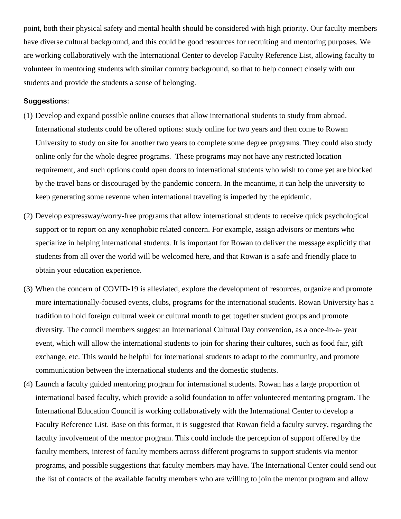point, both their physical safety and mental health should be considered with high priority. Our faculty members have diverse cultural background, and this could be good resources for recruiting and mentoring purposes. We are working collaboratively with the International Center to develop Faculty Reference List, allowing faculty to volunteer in mentoring students with similar country background, so that to help connect closely with our students and provide the students a sense of belonging.

### **Suggestions:**

- (1) Develop and expand possible online courses that allow international students to study from abroad. International students could be offered options: study online for two years and then come to Rowan University to study on site for another two years to complete some degree programs. They could also study online only for the whole degree programs. These programs may not have any restricted location requirement, and such options could open doors to international students who wish to come yet are blocked by the travel bans or discouraged by the pandemic concern. In the meantime, it can help the university to keep generating some revenue when international traveling is impeded by the epidemic.
- (2) Develop expressway/worry-free programs that allow international students to receive quick psychological support or to report on any xenophobic related concern. For example, assign advisors or mentors who specialize in helping international students. It is important for Rowan to deliver the message explicitly that students from all over the world will be welcomed here, and that Rowan is a safe and friendly place to obtain your education experience.
- (3) When the concern of COVID-19 is alleviated, explore the development of resources, organize and promote more internationally-focused events, clubs, programs for the international students. Rowan University has a tradition to hold foreign cultural week or cultural month to get together student groups and promote diversity. The council members suggest an International Cultural Day convention, as a once-in-a- year event, which will allow the international students to join for sharing their cultures, such as food fair, gift exchange, etc. This would be helpful for international students to adapt to the community, and promote communication between the international students and the domestic students.
- (4) Launch a faculty guided mentoring program for international students. Rowan has a large proportion of international based faculty, which provide a solid foundation to offer volunteered mentoring program. The International Education Council is working collaboratively with the International Center to develop a Faculty Reference List. Base on this format, it is suggested that Rowan field a faculty survey, regarding the faculty involvement of the mentor program. This could include the perception of support offered by the faculty members, interest of faculty members across different programs to support students via mentor programs, and possible suggestions that faculty members may have. The International Center could send out the list of contacts of the available faculty members who are willing to join the mentor program and allow